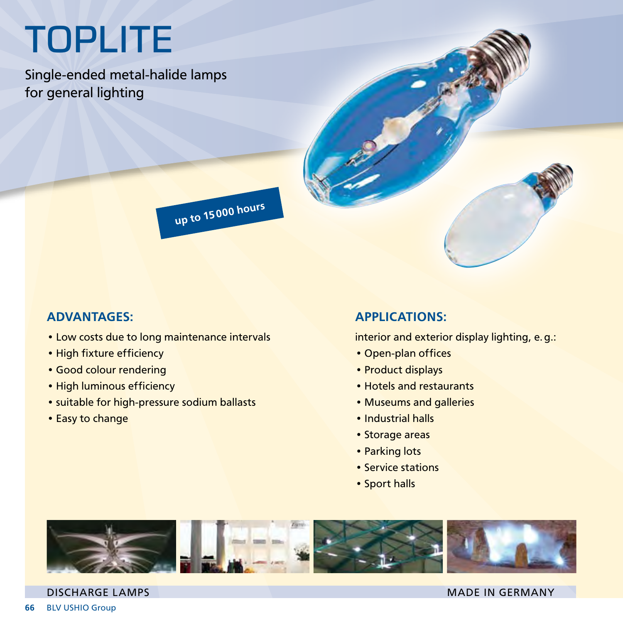## **TOPLITE**

Single-ended metal-halide lamps for general lighting



## ADVANTAGES:

- Low costs due to long maintenance intervals
- High fixture efficiency
- • Good colour rendering
- High luminous efficiency
- suitable for high-pressure sodium ballasts
- Easy to change

## APPLICATIONS:

interior and exterior display lighting, e.g.:

- • Open-plan offices
- Product displays
- • Hotels and restaurants
- • Museums and galleries
- Industrial halls
- Storage areas
- Parking lots
- Service stations
- • Sport halls



## DISCHARGE LAMPS MADE IN GERMANY